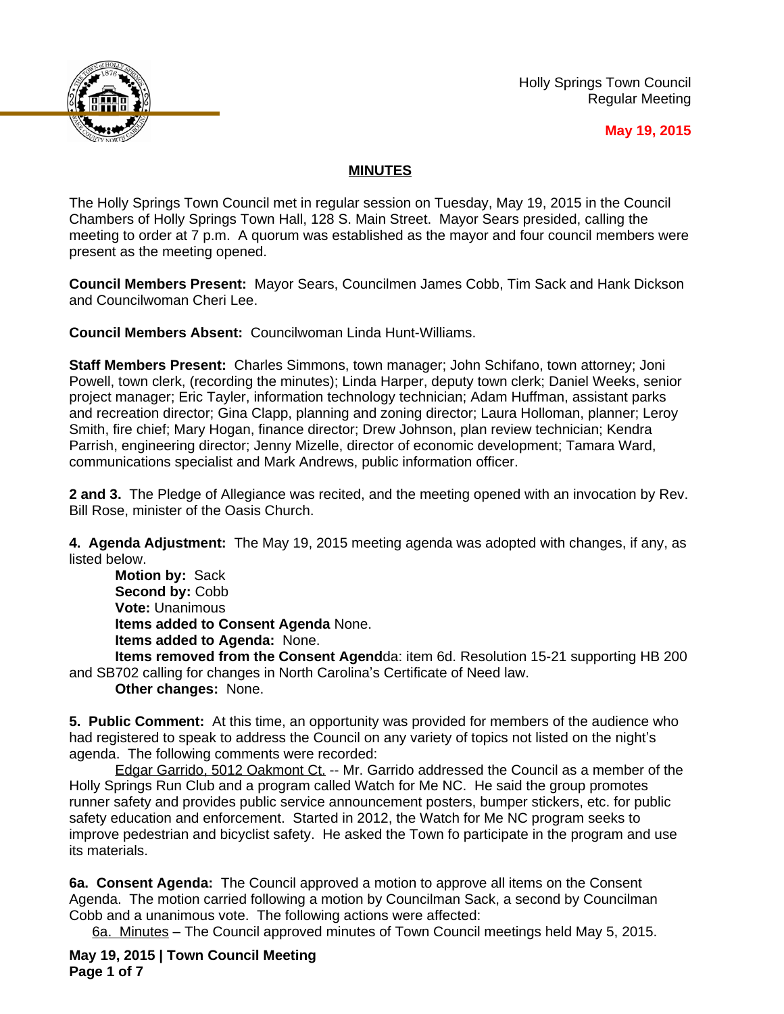

Holly Springs Town Council Regular Meeting

## **May 19, 2015**

## **MINUTES**

The Holly Springs Town Council met in regular session on Tuesday, May 19, 2015 in the Council Chambers of Holly Springs Town Hall, 128 S. Main Street. Mayor Sears presided, calling the meeting to order at 7 p.m. A quorum was established as the mayor and four council members were present as the meeting opened.

**Council Members Present:** Mayor Sears, Councilmen James Cobb, Tim Sack and Hank Dickson and Councilwoman Cheri Lee.

**Council Members Absent:** Councilwoman Linda Hunt-Williams.

**Staff Members Present:** Charles Simmons, town manager; John Schifano, town attorney; Joni Powell, town clerk, (recording the minutes); Linda Harper, deputy town clerk; Daniel Weeks, senior project manager; Eric Tayler, information technology technician; Adam Huffman, assistant parks and recreation director; Gina Clapp, planning and zoning director; Laura Holloman, planner; Leroy Smith, fire chief; Mary Hogan, finance director; Drew Johnson, plan review technician; Kendra Parrish, engineering director; Jenny Mizelle, director of economic development; Tamara Ward, communications specialist and Mark Andrews, public information officer.

**2 and 3.** The Pledge of Allegiance was recited, and the meeting opened with an invocation by Rev. Bill Rose, minister of the Oasis Church.

**4. Agenda Adjustment:** The May 19, 2015 meeting agenda was adopted with changes, if any, as listed below.

**Motion by:** Sack Second by: Cobb **Vote:** Unanimous **Items added to Consent Agenda** None. **Items added to Agenda:** None.

**Items removed from the Consent Agend**da: item 6d. Resolution 15-21 supporting HB 200 and SB702 calling for changes in North Carolina's Certificate of Need law.

**Other changes:** None.

**5. Public Comment:** At this time, an opportunity was provided for members of the audience who had registered to speak to address the Council on any variety of topics not listed on the night's agenda. The following comments were recorded:

Edgar Garrido, 5012 Oakmont Ct. -- Mr. Garrido addressed the Council as a member of the Holly Springs Run Club and a program called Watch for Me NC. He said the group promotes runner safety and provides public service announcement posters, bumper stickers, etc. for public safety education and enforcement. Started in 2012, the Watch for Me NC program seeks to improve pedestrian and bicyclist safety. He asked the Town fo participate in the program and use its materials.

**6a. Consent Agenda:** The Council approved a motion to approve all items on the Consent Agenda. The motion carried following a motion by Councilman Sack, a second by Councilman Cobb and a unanimous vote. The following actions were affected:

6a. Minutes – The Council approved minutes of Town Council meetings held May 5, 2015.

**May 19, 2015 | Town Council Meeting Page 1 of 7**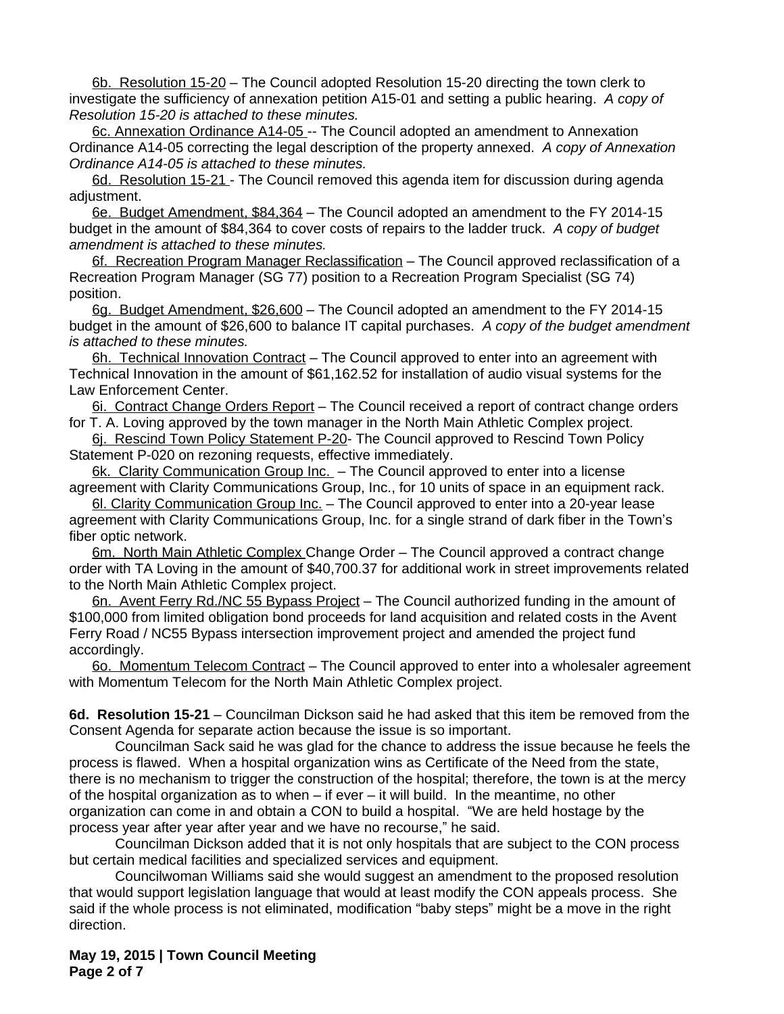6b. Resolution 15-20 – The Council adopted Resolution 15-20 directing the town clerk to investigate the sufficiency of annexation petition A15-01 and setting a public hearing. *A copy of Resolution 15-20 is attached to these minutes.*

6c. Annexation Ordinance A14-05 -- The Council adopted an amendment to Annexation Ordinance A14-05 correcting the legal description of the property annexed. *A copy of Annexation Ordinance A14-05 is attached to these minutes.*

6d. Resolution 15-21 - The Council removed this agenda item for discussion during agenda adjustment.

6e. Budget Amendment, \$84,364 – The Council adopted an amendment to the FY 2014-15 budget in the amount of \$84,364 to cover costs of repairs to the ladder truck. *A copy of budget amendment is attached to these minutes.*

6f. Recreation Program Manager Reclassification – The Council approved reclassification of a Recreation Program Manager (SG 77) position to a Recreation Program Specialist (SG 74) position.

6g. Budget Amendment, \$26,600 – The Council adopted an amendment to the FY 2014-15 budget in the amount of \$26,600 to balance IT capital purchases. *A copy of the budget amendment is attached to these minutes.*

6h. Technical Innovation Contract - The Council approved to enter into an agreement with Technical Innovation in the amount of \$61,162.52 for installation of audio visual systems for the Law Enforcement Center.

6i. Contract Change Orders Report – The Council received a report of contract change orders for T. A. Loving approved by the town manager in the North Main Athletic Complex project.

6j. Rescind Town Policy Statement P-20- The Council approved to Rescind Town Policy Statement P-020 on rezoning requests, effective immediately.

6k. Clarity Communication Group Inc. - The Council approved to enter into a license agreement with Clarity Communications Group, Inc., for 10 units of space in an equipment rack.

6l. Clarity Communication Group Inc. – The Council approved to enter into a 20-year lease agreement with Clarity Communications Group, Inc. for a single strand of dark fiber in the Town's fiber optic network.

6m. North Main Athletic Complex Change Order – The Council approved a contract change order with TA Loving in the amount of \$40,700.37 for additional work in street improvements related to the North Main Athletic Complex project.

6n. Avent Ferry Rd./NC 55 Bypass Project - The Council authorized funding in the amount of \$100,000 from limited obligation bond proceeds for land acquisition and related costs in the Avent Ferry Road / NC55 Bypass intersection improvement project and amended the project fund accordingly.

6o. Momentum Telecom Contract – The Council approved to enter into a wholesaler agreement with Momentum Telecom for the North Main Athletic Complex project.

**6d. Resolution 15-21** – Councilman Dickson said he had asked that this item be removed from the Consent Agenda for separate action because the issue is so important.

Councilman Sack said he was glad for the chance to address the issue because he feels the process is flawed. When a hospital organization wins as Certificate of the Need from the state, there is no mechanism to trigger the construction of the hospital; therefore, the town is at the mercy of the hospital organization as to when – if ever – it will build. In the meantime, no other organization can come in and obtain a CON to build a hospital. "We are held hostage by the process year after year after year and we have no recourse," he said.

Councilman Dickson added that it is not only hospitals that are subject to the CON process but certain medical facilities and specialized services and equipment.

Councilwoman Williams said she would suggest an amendment to the proposed resolution that would support legislation language that would at least modify the CON appeals process. She said if the whole process is not eliminated, modification "baby steps" might be a move in the right direction.

**May 19, 2015 | Town Council Meeting Page 2 of 7**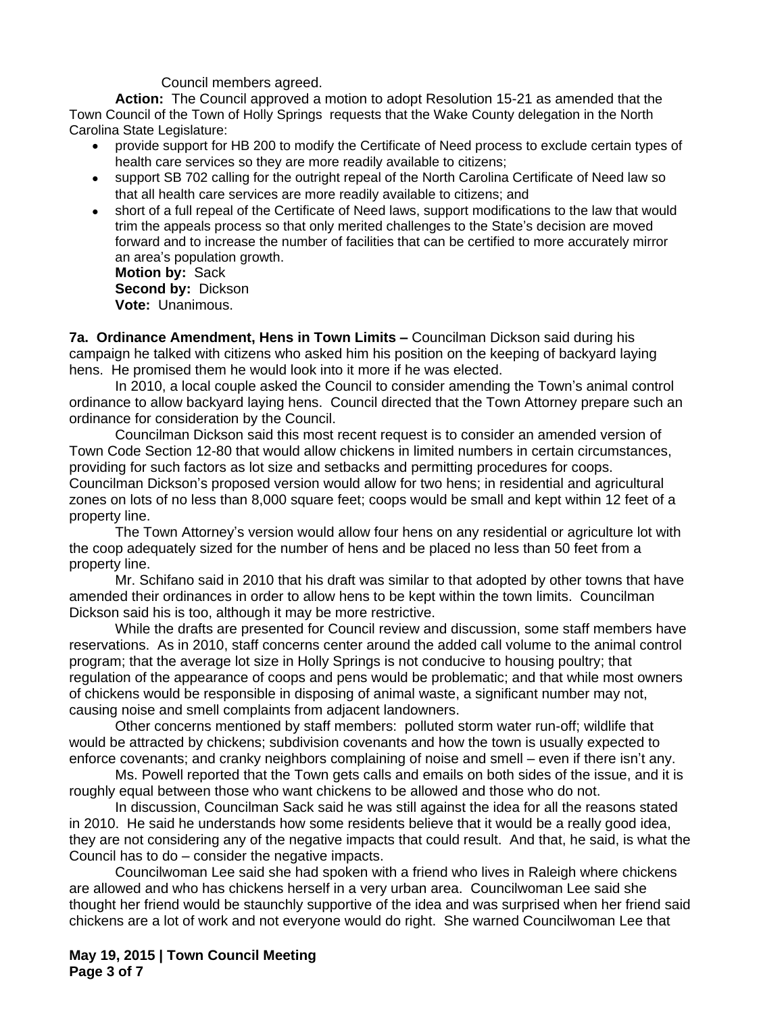Council members agreed.

**Action:** The Council approved a motion to adopt Resolution 15-21 as amended that the Town Council of the Town of Holly Springs requests that the Wake County delegation in the North Carolina State Legislature:

- provide support for HB 200 to modify the Certificate of Need process to exclude certain types of health care services so they are more readily available to citizens;
- support SB 702 calling for the outright repeal of the North Carolina Certificate of Need law so that all health care services are more readily available to citizens; and
- short of a full repeal of the Certificate of Need laws, support modifications to the law that would trim the appeals process so that only merited challenges to the State's decision are moved forward and to increase the number of facilities that can be certified to more accurately mirror an area's population growth.

**Motion by:** Sack **Second by:** Dickson **Vote:** Unanimous.

**7a. Ordinance Amendment, Hens in Town Limits –** Councilman Dickson said during his campaign he talked with citizens who asked him his position on the keeping of backyard laying hens. He promised them he would look into it more if he was elected.

In 2010, a local couple asked the Council to consider amending the Town's animal control ordinance to allow backyard laying hens. Council directed that the Town Attorney prepare such an ordinance for consideration by the Council.

Councilman Dickson said this most recent request is to consider an amended version of Town Code Section 12-80 that would allow chickens in limited numbers in certain circumstances, providing for such factors as lot size and setbacks and permitting procedures for coops. Councilman Dickson's proposed version would allow for two hens; in residential and agricultural zones on lots of no less than 8,000 square feet; coops would be small and kept within 12 feet of a property line.

The Town Attorney's version would allow four hens on any residential or agriculture lot with the coop adequately sized for the number of hens and be placed no less than 50 feet from a property line.

Mr. Schifano said in 2010 that his draft was similar to that adopted by other towns that have amended their ordinances in order to allow hens to be kept within the town limits. Councilman Dickson said his is too, although it may be more restrictive.

While the drafts are presented for Council review and discussion, some staff members have reservations. As in 2010, staff concerns center around the added call volume to the animal control program; that the average lot size in Holly Springs is not conducive to housing poultry; that regulation of the appearance of coops and pens would be problematic; and that while most owners of chickens would be responsible in disposing of animal waste, a significant number may not, causing noise and smell complaints from adjacent landowners.

Other concerns mentioned by staff members: polluted storm water run-off; wildlife that would be attracted by chickens; subdivision covenants and how the town is usually expected to enforce covenants; and cranky neighbors complaining of noise and smell – even if there isn't any.

Ms. Powell reported that the Town gets calls and emails on both sides of the issue, and it is roughly equal between those who want chickens to be allowed and those who do not.

In discussion, Councilman Sack said he was still against the idea for all the reasons stated in 2010. He said he understands how some residents believe that it would be a really good idea, they are not considering any of the negative impacts that could result. And that, he said, is what the Council has to do – consider the negative impacts.

Councilwoman Lee said she had spoken with a friend who lives in Raleigh where chickens are allowed and who has chickens herself in a very urban area. Councilwoman Lee said she thought her friend would be staunchly supportive of the idea and was surprised when her friend said chickens are a lot of work and not everyone would do right. She warned Councilwoman Lee that

**May 19, 2015 | Town Council Meeting Page 3 of 7**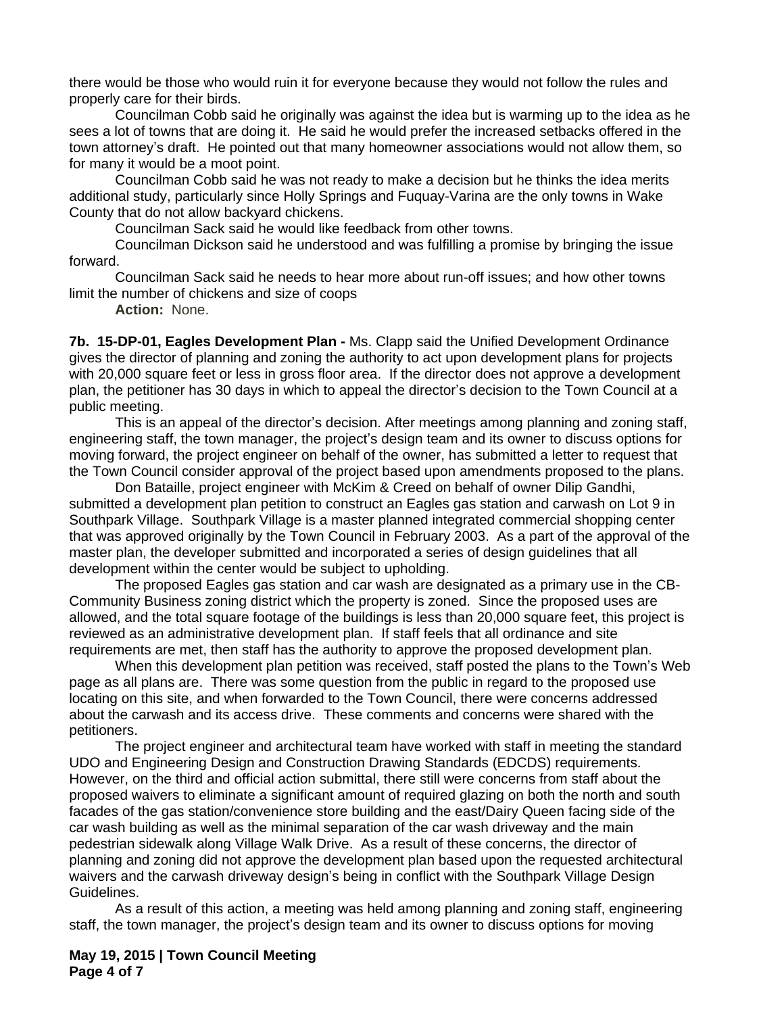there would be those who would ruin it for everyone because they would not follow the rules and properly care for their birds.

Councilman Cobb said he originally was against the idea but is warming up to the idea as he sees a lot of towns that are doing it. He said he would prefer the increased setbacks offered in the town attorney's draft. He pointed out that many homeowner associations would not allow them, so for many it would be a moot point.

Councilman Cobb said he was not ready to make a decision but he thinks the idea merits additional study, particularly since Holly Springs and Fuquay-Varina are the only towns in Wake County that do not allow backyard chickens.

Councilman Sack said he would like feedback from other towns.

Councilman Dickson said he understood and was fulfilling a promise by bringing the issue forward.

Councilman Sack said he needs to hear more about run-off issues; and how other towns limit the number of chickens and size of coops

**Action:** None.

**7b. 15-DP-01, Eagles Development Plan -** Ms. Clapp said the Unified Development Ordinance gives the director of planning and zoning the authority to act upon development plans for projects with 20,000 square feet or less in gross floor area. If the director does not approve a development plan, the petitioner has 30 days in which to appeal the director's decision to the Town Council at a public meeting.

This is an appeal of the director's decision. After meetings among planning and zoning staff, engineering staff, the town manager, the project's design team and its owner to discuss options for moving forward, the project engineer on behalf of the owner, has submitted a letter to request that the Town Council consider approval of the project based upon amendments proposed to the plans.

Don Bataille, project engineer with McKim & Creed on behalf of owner Dilip Gandhi, submitted a development plan petition to construct an Eagles gas station and carwash on Lot 9 in Southpark Village. Southpark Village is a master planned integrated commercial shopping center that was approved originally by the Town Council in February 2003. As a part of the approval of the master plan, the developer submitted and incorporated a series of design guidelines that all development within the center would be subject to upholding.

The proposed Eagles gas station and car wash are designated as a primary use in the CB-Community Business zoning district which the property is zoned. Since the proposed uses are allowed, and the total square footage of the buildings is less than 20,000 square feet, this project is reviewed as an administrative development plan. If staff feels that all ordinance and site requirements are met, then staff has the authority to approve the proposed development plan.

When this development plan petition was received, staff posted the plans to the Town's Web page as all plans are. There was some question from the public in regard to the proposed use locating on this site, and when forwarded to the Town Council, there were concerns addressed about the carwash and its access drive. These comments and concerns were shared with the petitioners.

The project engineer and architectural team have worked with staff in meeting the standard UDO and Engineering Design and Construction Drawing Standards (EDCDS) requirements. However, on the third and official action submittal, there still were concerns from staff about the proposed waivers to eliminate a significant amount of required glazing on both the north and south facades of the gas station/convenience store building and the east/Dairy Queen facing side of the car wash building as well as the minimal separation of the car wash driveway and the main pedestrian sidewalk along Village Walk Drive. As a result of these concerns, the director of planning and zoning did not approve the development plan based upon the requested architectural waivers and the carwash driveway design's being in conflict with the Southpark Village Design Guidelines.

As a result of this action, a meeting was held among planning and zoning staff, engineering staff, the town manager, the project's design team and its owner to discuss options for moving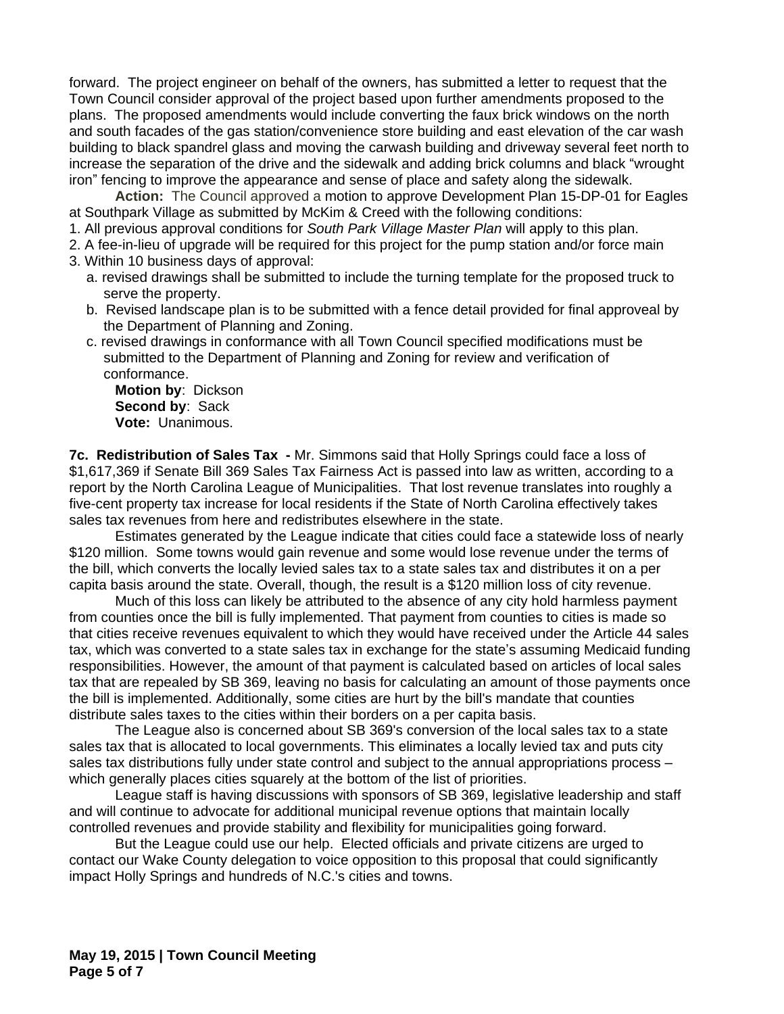forward. The project engineer on behalf of the owners, has submitted a letter to request that the Town Council consider approval of the project based upon further amendments proposed to the plans. The proposed amendments would include converting the faux brick windows on the north and south facades of the gas station/convenience store building and east elevation of the car wash building to black spandrel glass and moving the carwash building and driveway several feet north to increase the separation of the drive and the sidewalk and adding brick columns and black "wrought iron" fencing to improve the appearance and sense of place and safety along the sidewalk.

**Action:** The Council approved a motion to approve Development Plan 15-DP-01 for Eagles at Southpark Village as submitted by McKim & Creed with the following conditions:

- 1. All previous approval conditions for *South Park Village Master Plan* will apply to this plan.
- 2. A fee-in-lieu of upgrade will be required for this project for the pump station and/or force main
- 3. Within 10 business days of approval:
	- a. revised drawings shall be submitted to include the turning template for the proposed truck to serve the property.
	- b. Revised landscape plan is to be submitted with a fence detail provided for final approveal by the Department of Planning and Zoning.
	- c. revised drawings in conformance with all Town Council specified modifications must be submitted to the Department of Planning and Zoning for review and verification of conformance.

**Motion by**: Dickson **Second by**: Sack **Vote:** Unanimous.

**7c. Redistribution of Sales Tax -** Mr. Simmons said that Holly Springs could face a loss of \$1,617,369 if Senate Bill 369 Sales Tax Fairness Act is passed into law as written, according to a report by the North Carolina League of Municipalities. That lost revenue translates into roughly a five-cent property tax increase for local residents if the State of North Carolina effectively takes sales tax revenues from here and redistributes elsewhere in the state.

Estimates generated by the League indicate that cities could face a statewide loss of nearly \$120 million. Some towns would gain revenue and some would lose revenue under the terms of the bill, which converts the locally levied sales tax to a state sales tax and distributes it on a per capita basis around the state. Overall, though, the result is a \$120 million loss of city revenue.

Much of this loss can likely be attributed to the absence of any city hold harmless payment from counties once the bill is fully implemented. That payment from counties to cities is made so that cities receive revenues equivalent to which they would have received under the Article 44 sales tax, which was converted to a state sales tax in exchange for the state's assuming Medicaid funding responsibilities. However, the amount of that payment is calculated based on articles of local sales tax that are repealed by SB 369, leaving no basis for calculating an amount of those payments once the bill is implemented. Additionally, some cities are hurt by the bill's mandate that counties distribute sales taxes to the cities within their borders on a per capita basis.

The League also is concerned about SB 369's conversion of the local sales tax to a state sales tax that is allocated to local governments. This eliminates a locally levied tax and puts city sales tax distributions fully under state control and subject to the annual appropriations process – which generally places cities squarely at the bottom of the list of priorities.

League staff is having discussions with sponsors of SB 369, legislative leadership and staff and will continue to advocate for additional municipal revenue options that maintain locally controlled revenues and provide stability and flexibility for municipalities going forward.

But the League could use our help. Elected officials and private citizens are urged to contact our Wake County delegation to voice opposition to this proposal that could significantly impact Holly Springs and hundreds of N.C.'s cities and towns.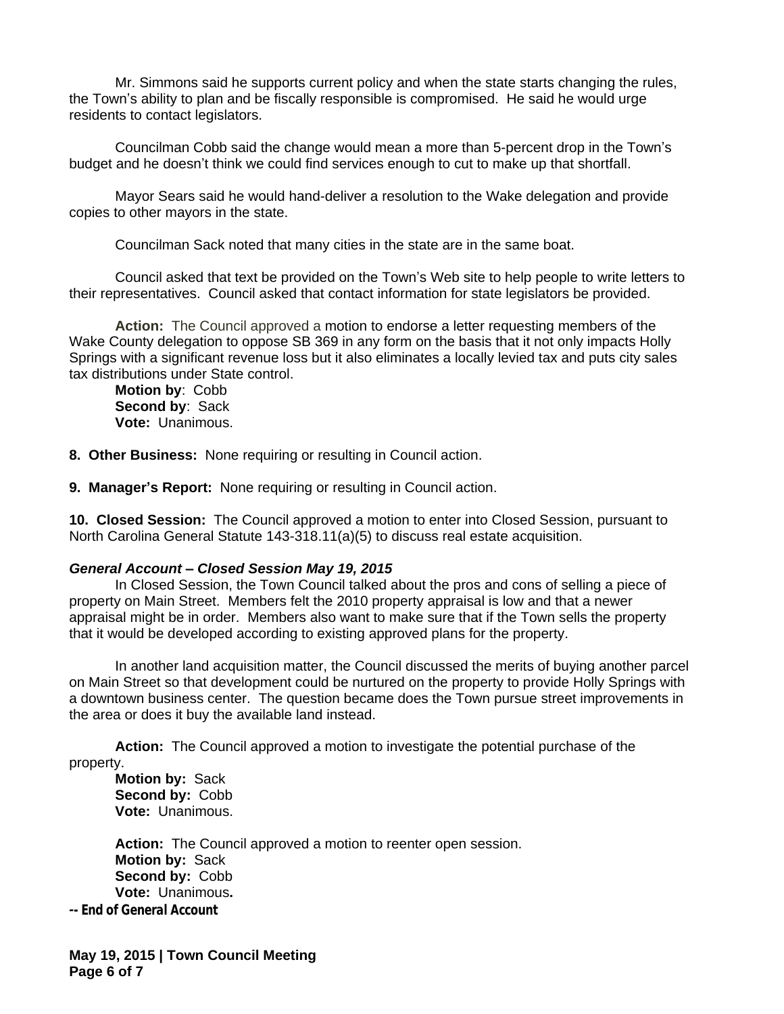Mr. Simmons said he supports current policy and when the state starts changing the rules, the Town's ability to plan and be fiscally responsible is compromised. He said he would urge residents to contact legislators.

Councilman Cobb said the change would mean a more than 5-percent drop in the Town's budget and he doesn't think we could find services enough to cut to make up that shortfall.

Mayor Sears said he would hand-deliver a resolution to the Wake delegation and provide copies to other mayors in the state.

Councilman Sack noted that many cities in the state are in the same boat.

Council asked that text be provided on the Town's Web site to help people to write letters to their representatives. Council asked that contact information for state legislators be provided.

**Action:** The Council approved a motion to endorse a letter requesting members of the Wake County delegation to oppose SB 369 in any form on the basis that it not only impacts Holly Springs with a significant revenue loss but it also eliminates a locally levied tax and puts city sales tax distributions under State control.

**Motion by**: Cobb **Second by**: Sack **Vote:** Unanimous.

**8. Other Business:** None requiring or resulting in Council action.

**9. Manager's Report:** None requiring or resulting in Council action.

**10. Closed Session:** The Council approved a motion to enter into Closed Session, pursuant to North Carolina General Statute 143-318.11(a)(5) to discuss real estate acquisition.

## *General Account – Closed Session May 19, 2015*

In Closed Session, the Town Council talked about the pros and cons of selling a piece of property on Main Street. Members felt the 2010 property appraisal is low and that a newer appraisal might be in order. Members also want to make sure that if the Town sells the property that it would be developed according to existing approved plans for the property.

In another land acquisition matter, the Council discussed the merits of buying another parcel on Main Street so that development could be nurtured on the property to provide Holly Springs with a downtown business center. The question became does the Town pursue street improvements in the area or does it buy the available land instead.

**Action:** The Council approved a motion to investigate the potential purchase of the property.

**Motion by:** Sack **Second by:** Cobb **Vote:** Unanimous.

**Action:** The Council approved a motion to reenter open session. **Motion by:** Sack **Second by:** Cobb **Vote:** Unanimous**.** *-- End of General Account*

**May 19, 2015 | Town Council Meeting Page 6 of 7**